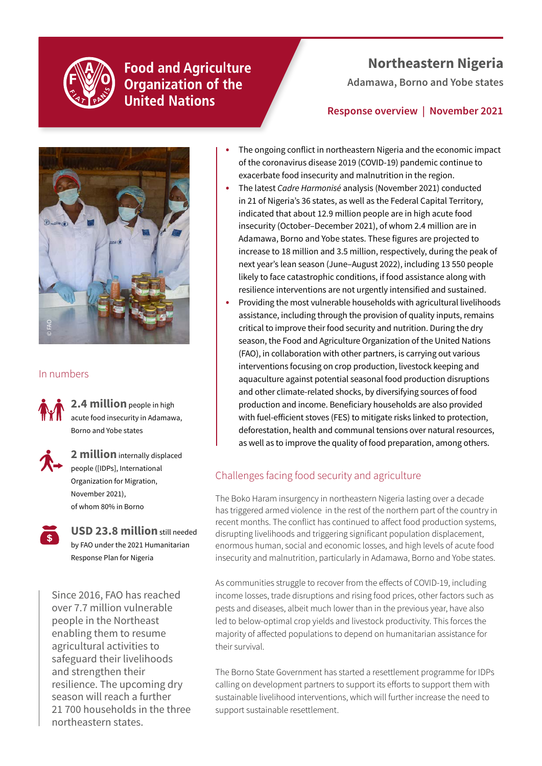

**Food and Agriculture Organization of the United Nations** 

## **Northeastern Nigeria**

**Adamawa, Borno and Yobe states** 

### **Response overview | November 2021**



### In numbers



**2.4 million** people in high acute food insecurity in Adamawa, Borno and Yobe states



**2 million** internally displaced people ([IDPs], International Organization for Migration, November 2021), of whom 80% in Borno

**USD 23.8 million** still needed by FAO under the 2021 Humanitarian Response Plan for Nigeria

Since 2016, FAO has reached over 7.7 million vulnerable people in the Northeast enabling them to resume agricultural activities to safeguard their livelihoods and strengthen their resilience. The upcoming dry season will reach a further 21 700 households in the three northeastern states.

- **•** The ongoing conflict in northeastern Nigeria and the economic impact of the coronavirus disease 2019 (COVID-19) pandemic continue to exacerbate food insecurity and malnutrition in the region.
- **•** The latest *Cadre Harmonisé* analysis (November 2021) conducted in 21 of Nigeria's 36 states, as well as the Federal Capital Territory, indicated that about 12.9 million people are in high acute food insecurity (October–December 2021), of whom 2.4 million are in Adamawa, Borno and Yobe states. These figures are projected to increase to 18 million and 3.5 million, respectively, during the peak of next year's lean season (June–August 2022), including 13 550 people likely to face catastrophic conditions, if food assistance along with resilience interventions are not urgently intensified and sustained.
- **•** Providing the most vulnerable households with agricultural livelihoods assistance, including through the provision of quality inputs, remains critical to improve their food security and nutrition. During the dry season, the Food and Agriculture Organization of the United Nations (FAO), in collaboration with other partners, is carrying out various interventions focusing on crop production, livestock keeping and aquaculture against potential seasonal food production disruptions and other climate-related shocks, by diversifying sources of food production and income. Beneficiary households are also provided with fuel-efficient stoves (FES) to mitigate risks linked to protection, deforestation, health and communal tensions over natural resources, as well as to improve the quality of food preparation, among others.

## Challenges facing food security and agriculture

The Boko Haram insurgency in northeastern Nigeria lasting over a decade has triggered armed violence in the rest of the northern part of the country in recent months. The conflict has continued to affect food production systems, disrupting livelihoods and triggering significant population displacement, enormous human, social and economic losses, and high levels of acute food insecurity and malnutrition, particularly in Adamawa, Borno and Yobe states.

As communities struggle to recover from the effects of COVID-19, including income losses, trade disruptions and rising food prices, other factors such as pests and diseases, albeit much lower than in the previous year, have also led to below-optimal crop yields and livestock productivity. This forces the majority of affected populations to depend on humanitarian assistance for their survival.

The Borno State Government has started a resettlement programme for IDPs calling on development partners to support its efforts to support them with sustainable livelihood interventions, which will further increase the need to support sustainable resettlement.